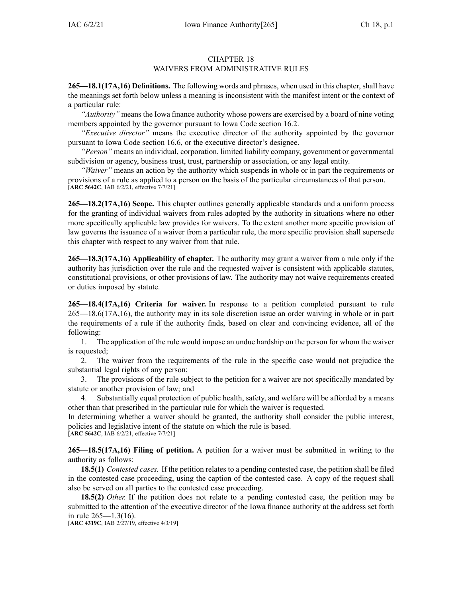## CHAPTER 18 WAIVERS FROM ADMINISTRATIVE RULES

**265—18.1(17A,16) Definitions.** The following words and phrases, when used in this chapter, shall have the meanings set forth below unless <sup>a</sup> meaning is inconsistent with the manifest intent or the context of <sup>a</sup> particular rule:

*"Authority"* means the Iowa finance authority whose powers are exercised by <sup>a</sup> board of nine voting members appointed by the governor pursuan<sup>t</sup> to Iowa Code section [16.2](https://www.legis.iowa.gov/docs/ico/section/16.2.pdf).

*"Executive director"* means the executive director of the authority appointed by the governor pursuan<sup>t</sup> to Iowa Code section [16.6](https://www.legis.iowa.gov/docs/ico/section/16.6.pdf), or the executive director's designee.

*"Person"* means an individual, corporation, limited liability company, governmen<sup>t</sup> or governmental subdivision or agency, business trust, trust, partnership or association, or any legal entity.

*"Waiver"* means an action by the authority which suspends in whole or in par<sup>t</sup> the requirements or provisions of <sup>a</sup> rule as applied to <sup>a</sup> person on the basis of the particular circumstances of that person. [**ARC [5642C](https://www.legis.iowa.gov/docs/aco/arc/5642C.pdf)**, IAB 6/2/21, effective 7/7/21]

**265—18.2(17A,16) Scope.** This chapter outlines generally applicable standards and <sup>a</sup> uniform process for the granting of individual waivers from rules adopted by the authority in situations where no other more specifically applicable law provides for waivers. To the extent another more specific provision of law governs the issuance of <sup>a</sup> waiver from <sup>a</sup> particular rule, the more specific provision shall supersede this chapter with respec<sup>t</sup> to any waiver from that rule.

**265—18.3(17A,16) Applicability of chapter.** The authority may gran<sup>t</sup> <sup>a</sup> waiver from <sup>a</sup> rule only if the authority has jurisdiction over the rule and the requested waiver is consistent with applicable statutes, constitutional provisions, or other provisions of law. The authority may not waive requirements created or duties imposed by statute.

**265—18.4(17A,16) Criteria for waiver.** In response to <sup>a</sup> petition completed pursuan<sup>t</sup> to rule [265—18.6\(17A,16\)](https://www.legis.iowa.gov/docs/iac/rule/265.18.6.pdf), the authority may in its sole discretion issue an order waiving in whole or in par<sup>t</sup> the requirements of <sup>a</sup> rule if the authority finds, based on clear and convincing evidence, all of the following:

1. The application of the rule would impose an undue hardship on the person for whom the waiver is requested;

2. The waiver from the requirements of the rule in the specific case would not prejudice the substantial legal rights of any person;

3. The provisions of the rule subject to the petition for <sup>a</sup> waiver are not specifically mandated by statute or another provision of law; and

4. Substantially equal protection of public health, safety, and welfare will be afforded by <sup>a</sup> means other than that prescribed in the particular rule for which the waiver is requested.

In determining whether <sup>a</sup> waiver should be granted, the authority shall consider the public interest, policies and legislative intent of the statute on which the rule is based. [**ARC [5642C](https://www.legis.iowa.gov/docs/aco/arc/5642C.pdf)**, IAB 6/2/21, effective 7/7/21]

**265—18.5(17A,16) Filing of petition.** A petition for <sup>a</sup> waiver must be submitted in writing to the authority as follows:

**18.5(1)** *Contested cases.* If the petition relates to <sup>a</sup> pending contested case, the petition shall be filed in the contested case proceeding, using the caption of the contested case. A copy of the reques<sup>t</sup> shall also be served on all parties to the contested case proceeding.

**18.5(2)** *Other.* If the petition does not relate to <sup>a</sup> pending contested case, the petition may be submitted to the attention of the executive director of the Iowa finance authority at the address set forth in rule 265—1.3(16).

[**ARC [4319C](https://www.legis.iowa.gov/docs/aco/arc/4319C.pdf)**, IAB 2/27/19, effective 4/3/19]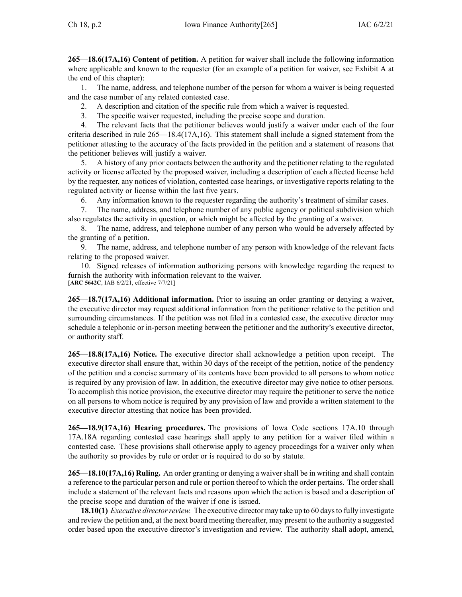**265—18.6(17A,16) Content of petition.** A petition for waiver shall include the following information where applicable and known to the requester (for an example of <sup>a</sup> petition for waiver, see Exhibit A at the end of this chapter):

1. The name, address, and telephone number of the person for whom <sup>a</sup> waiver is being requested and the case number of any related contested case.

2. A description and citation of the specific rule from which <sup>a</sup> waiver is requested.

3. The specific waiver requested, including the precise scope and duration.

4. The relevant facts that the petitioner believes would justify <sup>a</sup> waiver under each of the four criteria described in rule 265—18.4(17A,16). This statement shall include <sup>a</sup> signed statement from the petitioner attesting to the accuracy of the facts provided in the petition and <sup>a</sup> statement of reasons that the petitioner believes will justify <sup>a</sup> waiver.

5. A history of any prior contacts between the authority and the petitioner relating to the regulated activity or license affected by the proposed waiver, including <sup>a</sup> description of each affected license held by the requester, any notices of violation, contested case hearings, or investigative reports relating to the regulated activity or license within the last five years.

6. Any information known to the requester regarding the authority's treatment of similar cases.

7. The name, address, and telephone number of any public agency or political subdivision which also regulates the activity in question, or which might be affected by the granting of <sup>a</sup> waiver.

The name, address, and telephone number of any person who would be adversely affected by the granting of <sup>a</sup> petition.

9. The name, address, and telephone number of any person with knowledge of the relevant facts relating to the proposed waiver.

10. Signed releases of information authorizing persons with knowledge regarding the reques<sup>t</sup> to furnish the authority with information relevant to the waiver.

[**ARC [5642C](https://www.legis.iowa.gov/docs/aco/arc/5642C.pdf)**, IAB 6/2/21, effective 7/7/21]

**265—18.7(17A,16) Additional information.** Prior to issuing an order granting or denying <sup>a</sup> waiver, the executive director may reques<sup>t</sup> additional information from the petitioner relative to the petition and surrounding circumstances. If the petition was not filed in <sup>a</sup> contested case, the executive director may schedule <sup>a</sup> telephonic or in-person meeting between the petitioner and the authority's executive director, or authority staff.

**265—18.8(17A,16) Notice.** The executive director shall acknowledge <sup>a</sup> petition upon receipt. The executive director shall ensure that, within 30 days of the receipt of the petition, notice of the pendency of the petition and <sup>a</sup> concise summary of its contents have been provided to all persons to whom notice is required by any provision of law. In addition, the executive director may give notice to other persons. To accomplish this notice provision, the executive director may require the petitioner to serve the notice on all persons to whom notice is required by any provision of law and provide <sup>a</sup> written statement to the executive director attesting that notice has been provided.

**265—18.9(17A,16) Hearing procedures.** The provisions of Iowa Code sections 17A.10 [through](https://www.legis.iowa.gov/docs/ico/section/17A.10-18A.pdf) [17A.18A](https://www.legis.iowa.gov/docs/ico/section/17A.10-18A.pdf) regarding contested case hearings shall apply to any petition for <sup>a</sup> waiver filed within <sup>a</sup> contested case. These provisions shall otherwise apply to agency proceedings for <sup>a</sup> waiver only when the authority so provides by rule or order or is required to do so by statute.

**265—18.10(17A,16) Ruling.** An order granting or denying <sup>a</sup> waiver shall be in writing and shall contain a reference to the particular person and rule or portion thereof to which the order pertains. The order shall include <sup>a</sup> statement of the relevant facts and reasons upon which the action is based and <sup>a</sup> description of the precise scope and duration of the waiver if one is issued.

**18.10(1)** *Executive directorreview.* The executive director may take up to 60 daysto fully investigate and review the petition and, at the next board meeting thereafter, may presen<sup>t</sup> to the authority <sup>a</sup> suggested order based upon the executive director's investigation and review. The authority shall adopt, amend,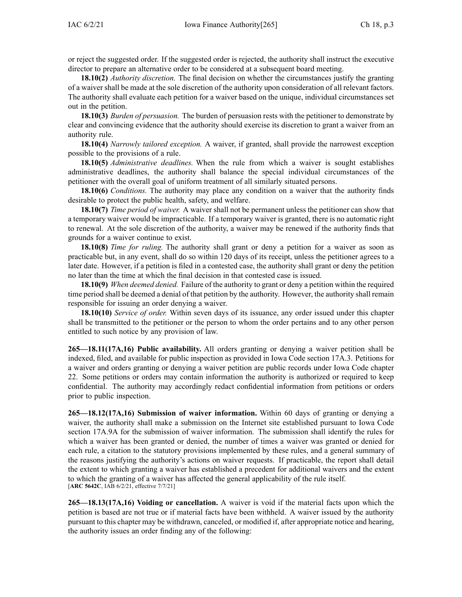or reject the suggested order. If the suggested order is rejected, the authority shall instruct the executive director to prepare an alternative order to be considered at <sup>a</sup> subsequent board meeting.

**18.10(2)** *Authority discretion.* The final decision on whether the circumstances justify the granting of <sup>a</sup> waiver shall be made at the sole discretion of the authority upon consideration of all relevant factors. The authority shall evaluate each petition for <sup>a</sup> waiver based on the unique, individual circumstances set out in the petition.

**18.10(3)** *Burden of persuasion.* The burden of persuasion rests with the petitioner to demonstrate by clear and convincing evidence that the authority should exercise its discretion to gran<sup>t</sup> <sup>a</sup> waiver from an authority rule.

**18.10(4)** *Narrowly tailored exception.* A waiver, if granted, shall provide the narrowest exception possible to the provisions of <sup>a</sup> rule.

**18.10(5)** *Administrative deadlines.* When the rule from which <sup>a</sup> waiver is sought establishes administrative deadlines, the authority shall balance the special individual circumstances of the petitioner with the overall goal of uniform treatment of all similarly situated persons.

**18.10(6)** *Conditions.* The authority may place any condition on <sup>a</sup> waiver that the authority finds desirable to protect the public health, safety, and welfare.

**18.10(7)** *Time period of waiver.* A waiver shall not be permanen<sup>t</sup> unless the petitioner can show that <sup>a</sup> temporary waiver would be impracticable. If <sup>a</sup> temporary waiver is granted, there is no automatic right to renewal. At the sole discretion of the authority, <sup>a</sup> waiver may be renewed if the authority finds that grounds for <sup>a</sup> waiver continue to exist.

**18.10(8)** *Time for ruling.* The authority shall gran<sup>t</sup> or deny <sup>a</sup> petition for <sup>a</sup> waiver as soon as practicable but, in any event, shall do so within 120 days of its receipt, unless the petitioner agrees to <sup>a</sup> later date. However, if <sup>a</sup> petition is filed in <sup>a</sup> contested case, the authority shall gran<sup>t</sup> or deny the petition no later than the time at which the final decision in that contested case is issued.

**18.10(9)** *When deemed denied.* Failure of the authority to gran<sup>t</sup> or deny <sup>a</sup> petition within the required time period shall be deemed <sup>a</sup> denial of that petition by the authority. However, the authority shall remain responsible for issuing an order denying <sup>a</sup> waiver.

**18.10(10)** *Service of order.* Within seven days of its issuance, any order issued under this chapter shall be transmitted to the petitioner or the person to whom the order pertains and to any other person entitled to such notice by any provision of law.

**265—18.11(17A,16) Public availability.** All orders granting or denying <sup>a</sup> waiver petition shall be indexed, filed, and available for public inspection as provided in Iowa Code section [17A.3](https://www.legis.iowa.gov/docs/ico/section/17A.3.pdf). Petitions for <sup>a</sup> waiver and orders granting or denying <sup>a</sup> waiver petition are public records under Iowa Code chapter [22](https://www.legis.iowa.gov/docs/ico/chapter/22.pdf). Some petitions or orders may contain information the authority is authorized or required to keep confidential. The authority may accordingly redact confidential information from petitions or orders prior to public inspection.

**265—18.12(17A,16) Submission of waiver information.** Within 60 days of granting or denying <sup>a</sup> waiver, the authority shall make <sup>a</sup> submission on the Internet site established pursuan<sup>t</sup> to Iowa Code section 17A.9A for the submission of waiver information. The submission shall identify the rules for which <sup>a</sup> waiver has been granted or denied, the number of times <sup>a</sup> waiver was granted or denied for each rule, <sup>a</sup> citation to the statutory provisions implemented by these rules, and <sup>a</sup> general summary of the reasons justifying the authority's actions on waiver requests. If practicable, the repor<sup>t</sup> shall detail the extent to which granting <sup>a</sup> waiver has established <sup>a</sup> precedent for additional waivers and the extent to which the granting of <sup>a</sup> waiver has affected the general applicability of the rule itself. [**ARC [5642C](https://www.legis.iowa.gov/docs/aco/arc/5642C.pdf)**, IAB 6/2/21, effective 7/7/21]

**265—18.13(17A,16) Voiding or cancellation.** A waiver is void if the material facts upon which the petition is based are not true or if material facts have been withheld. A waiver issued by the authority pursuan<sup>t</sup> to this chapter may be withdrawn, canceled, or modified if, after appropriate notice and hearing, the authority issues an order finding any of the following: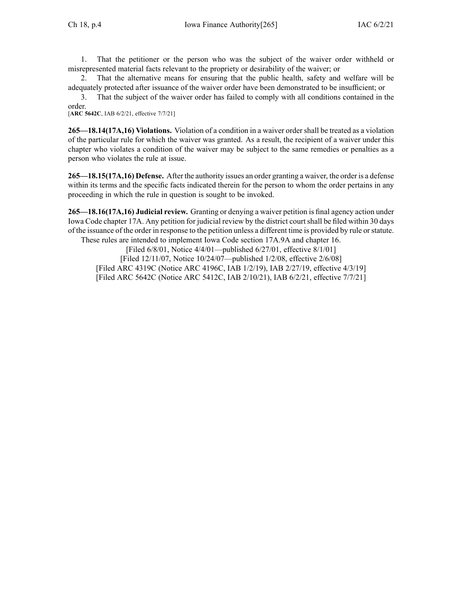1. That the petitioner or the person who was the subject of the waiver order withheld or misrepresented material facts relevant to the propriety or desirability of the waiver; or

2. That the alternative means for ensuring that the public health, safety and welfare will be adequately protected after issuance of the waiver order have been demonstrated to be insufficient; or

3. That the subject of the waiver order has failed to comply with all conditions contained in the order.

[**ARC [5642C](https://www.legis.iowa.gov/docs/aco/arc/5642C.pdf)**, IAB 6/2/21, effective 7/7/21]

**265—18.14(17A,16) Violations.** Violation of <sup>a</sup> condition in <sup>a</sup> waiver order shall be treated as <sup>a</sup> violation of the particular rule for which the waiver was granted. As <sup>a</sup> result, the recipient of <sup>a</sup> waiver under this chapter who violates <sup>a</sup> condition of the waiver may be subject to the same remedies or penalties as <sup>a</sup> person who violates the rule at issue.

**265—18.15(17A,16) Defense.** After the authority issues an order granting <sup>a</sup> waiver, the order is <sup>a</sup> defense within its terms and the specific facts indicated therein for the person to whom the order pertains in any proceeding in which the rule in question is sought to be invoked.

**265—18.16(17A,16) Judicial review.** Granting or denying <sup>a</sup> waiver petition is final agency action under Iowa Code chapter [17A](https://www.legis.iowa.gov/docs/ico/chapter/17A.pdf). Any petition for judicial review by the district court shall be filed within 30 days of the issuance of the order in response to the petition unless <sup>a</sup> different time is provided by rule orstatute. These rules are intended to implement Iowa Code section [17A.9A](https://www.legis.iowa.gov/docs/ico/section/17A.9A.pdf) and chapter [16](https://www.legis.iowa.gov/docs/ico/chapter/16.pdf).

[Filed 6/8/01, Notice 4/4/01—published 6/27/01, effective 8/1/01] [Filed 12/11/07, Notice 10/24/07—published 1/2/08, effective 2/6/08] [Filed ARC [4319C](https://www.legis.iowa.gov/docs/aco/arc/4319C.pdf) [\(Notice](https://www.legis.iowa.gov/docs/aco/arc/4196C.pdf) ARC 4196C, IAB 1/2/19), IAB 2/27/19, effective 4/3/19] [[Filed](https://www.legis.iowa.gov/docs/aco/arc/5642C.pdf) ARC 5642C [\(Notice](https://www.legis.iowa.gov/docs/aco/arc/5412C.pdf) ARC 5412C, IAB 2/10/21), IAB 6/2/21, effective 7/7/21]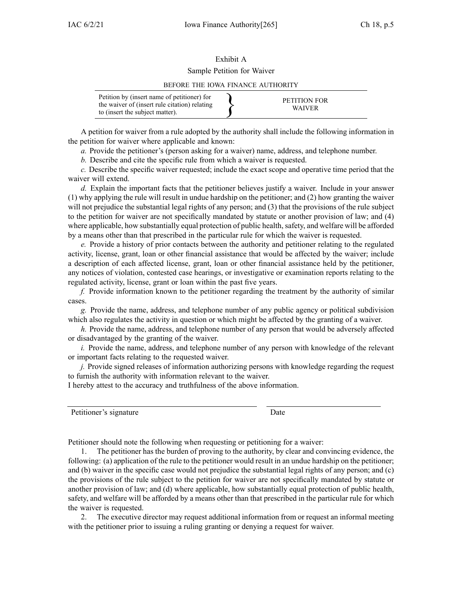## Exhibit A Sample Petition for Waiver

## BEFORE THE IOWA FINANCE AUTHORITY

| Petition by (insert name of petitioner) for<br>the waiver of (insert rule citation) relating<br>to (insert the subject matter). |  | PETITION FOR<br><b>WAIVER</b> |
|---------------------------------------------------------------------------------------------------------------------------------|--|-------------------------------|
|---------------------------------------------------------------------------------------------------------------------------------|--|-------------------------------|

A petition for waiver from <sup>a</sup> rule adopted by the authority shall include the following information in the petition for waiver where applicable and known:

*a.* Provide the petitioner's (person asking for <sup>a</sup> waiver) name, address, and telephone number.

*b.* Describe and cite the specific rule from which <sup>a</sup> waiver is requested.

*c.* Describe the specific waiver requested; include the exact scope and operative time period that the waiver will extend.

*d.* Explain the important facts that the petitioner believes justify <sup>a</sup> waiver. Include in your answer (1) why applying the rule will result in undue hardship on the petitioner; and (2) how granting the waiver will not prejudice the substantial legal rights of any person; and (3) that the provisions of the rule subject to the petition for waiver are not specifically mandated by statute or another provision of law; and (4) where applicable, how substantially equal protection of public health, safety, and welfare will be afforded by <sup>a</sup> means other than that prescribed in the particular rule for which the waiver is requested.

*e.* Provide <sup>a</sup> history of prior contacts between the authority and petitioner relating to the regulated activity, license, grant, loan or other financial assistance that would be affected by the waiver; include <sup>a</sup> description of each affected license, grant, loan or other financial assistance held by the petitioner, any notices of violation, contested case hearings, or investigative or examination reports relating to the regulated activity, license, gran<sup>t</sup> or loan within the pas<sup>t</sup> five years.

*f.* Provide information known to the petitioner regarding the treatment by the authority of similar cases.

*g.* Provide the name, address, and telephone number of any public agency or political subdivision which also regulates the activity in question or which might be affected by the granting of <sup>a</sup> waiver.

*h.* Provide the name, address, and telephone number of any person that would be adversely affected or disadvantaged by the granting of the waiver.

*i.* Provide the name, address, and telephone number of any person with knowledge of the relevant or important facts relating to the requested waiver.

*j.* Provide signed releases of information authorizing persons with knowledge regarding the reques<sup>t</sup> to furnish the authority with information relevant to the waiver.

I hereby attest to the accuracy and truthfulness of the above information.

Petitioner's signature Date

Petitioner should note the following when requesting or petitioning for <sup>a</sup> waiver:

1. The petitioner has the burden of proving to the authority, by clear and convincing evidence, the following: (a) application of the rule to the petitioner would result in an undue hardship on the petitioner; and (b) waiver in the specific case would not prejudice the substantial legal rights of any person; and (c) the provisions of the rule subject to the petition for waiver are not specifically mandated by statute or another provision of law; and (d) where applicable, how substantially equal protection of public health, safety, and welfare will be afforded by <sup>a</sup> means other than that prescribed in the particular rule for which the waiver is requested.

2. The executive director may reques<sup>t</sup> additional information from or reques<sup>t</sup> an informal meeting with the petitioner prior to issuing <sup>a</sup> ruling granting or denying <sup>a</sup> reques<sup>t</sup> for waiver.